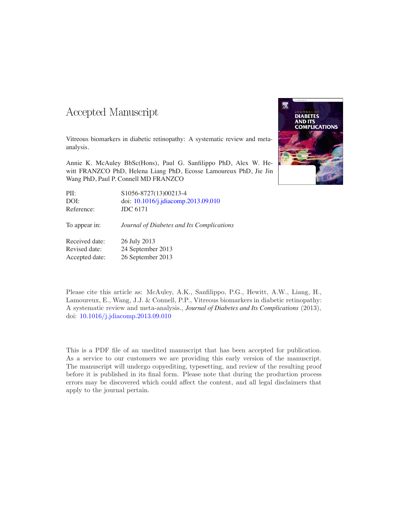### Accepted Manuscript

Vitreous biomarkers in diabetic retinopathy: A systematic review and metaanalysis.

Annie K. McAuley BbSc(Hons), Paul G. Sanfilippo PhD, Alex W. Hewitt FRANZCO PhD, Helena Liang PhD, Ecosse Lamoureux PhD, Jie Jin Wang PhD, Paul P. Connell MD FRANZCO

| PII:          | \$1056-8727(13)00213-4                    |
|---------------|-------------------------------------------|
| DOI:          | doi: 10.1016/j.jdiacomp.2013.09.010       |
| Reference:    | <b>JDC 6171</b>                           |
| To appear in: | Journal of Diabetes and Its Complications |

Received date: 26 July 2013 Revised date: 24 September 2013 Accepted date: 26 September 2013

Please cite this article as: McAuley, A.K., Sanfilippo, P.G., Hewitt, A.W., Liang, H., Lamoureux, E., Wang, J.J. & Connell, P.P., Vitreous biomarkers in diabetic retinopathy: A systematic review and meta-analysis., *Journal of Diabetes and Its Complications* (2013), doi: [10.1016/j.jdiacomp.2013.09.010](http://dx.doi.org/10.1016/j.jdiacomp.2013.09.010)

This is a PDF file of an unedited manuscript that has been accepted for publication. As a service to our customers we are providing this early version of the manuscript. The manuscript will undergo copyediting, typesetting, and review of the resulting proof before it is published in its final form. Please note that during the production process errors may be discovered which could affect the content, and all legal disclaimers that apply to the journal pertain.

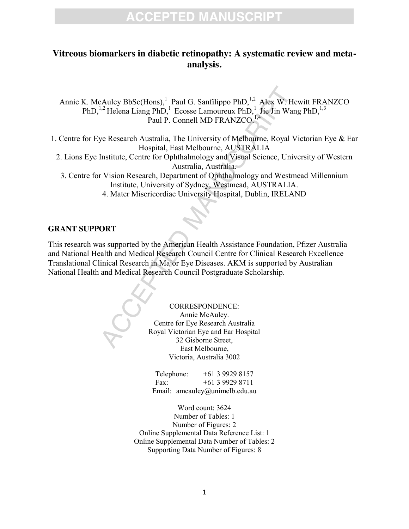#### **Vitreous biomarkers in diabetic retinopathy: A systematic review and metaanalysis.**

Annie K. McAuley BbSc(Hons), Paul G. Sanfilippo PhD,  $^{1,2}$  Alex W. Hewitt FRANZCO PhD,<sup>1,2</sup> Helena Liang PhD,<sup>1</sup> Ecosse Lamoureux PhD,<sup>1</sup> Jie Jin Wang PhD,<sup>1,3</sup> Paul P. Connell MD FRANZCO.<sup>1,4</sup>

1. Centre for Eye Research Australia, The University of Melbourne, Royal Victorian Eye & Ear Hospital, East Melbourne, AUSTRALIA

2. Lions Eye Institute, Centre for Ophthalmology and Visual Science, University of Western Australia, Australia.

3. Centre for Vision Research, Department of Ophthalmology and Westmead Millennium Institute, University of Sydney, Westmead, AUSTRALIA.

4. Mater Misericordiae University Hospital, Dublin, IRELAND

#### **GRANT SUPPORT**

Example of the Mexican Health Assistance Foundation<br>
2. Contexnel Manufold Manufold Manufold Manufold Manufold Manufold Manufold Manufold Manufold Manufold Manufold Manufold Manufold Manufold Manufold Manufold Manufold Man This research was supported by the American Health Assistance Foundation, Pfizer Australia and National Health and Medical Research Council Centre for Clinical Research Excellence– Translational Clinical Research in Major Eye Diseases. AKM is supported by Australian National Health and Medical Research Council Postgraduate Scholarship.

CORRESPONDENCE: Annie McAuley. Centre for Eye Research Australia Royal Victorian Eye and Ear Hospital 32 Gisborne Street, East Melbourne, Victoria, Australia 3002

Telephone: +61 3 9929 8157 Fax: +61 3 9929 8711 Email: amcauley@unimelb.edu.au

Word count: 3624 Number of Tables: 1 Number of Figures: 2 Online Supplemental Data Reference List: 1 Online Supplemental Data Number of Tables: 2 Supporting Data Number of Figures: 8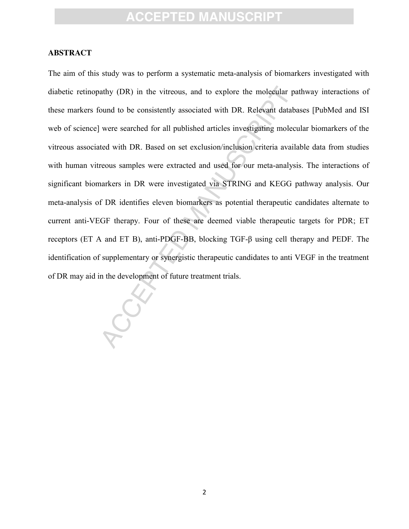#### **ABSTRACT**

athy (DR) in the vitreous, and to explore the molecular<br>bound to be consistently associated with DR. Relevant data<br>were searched for all published articles investigating molecular<br>ted with DR. Based on set exclusion/inclu The aim of this study was to perform a systematic meta-analysis of biomarkers investigated with diabetic retinopathy (DR) in the vitreous, and to explore the molecular pathway interactions of these markers found to be consistently associated with DR. Relevant databases [PubMed and ISI web of science] were searched for all published articles investigating molecular biomarkers of the vitreous associated with DR. Based on set exclusion/inclusion criteria available data from studies with human vitreous samples were extracted and used for our meta-analysis. The interactions of significant biomarkers in DR were investigated via STRING and KEGG pathway analysis. Our meta-analysis of DR identifies eleven biomarkers as potential therapeutic candidates alternate to current anti-VEGF therapy. Four of these are deemed viable therapeutic targets for PDR; ET receptors (ET A and ET B), anti-PDGF-BB, blocking TGF-β using cell therapy and PEDF. The identification of supplementary or synergistic therapeutic candidates to anti VEGF in the treatment of DR may aid in the development of future treatment trials.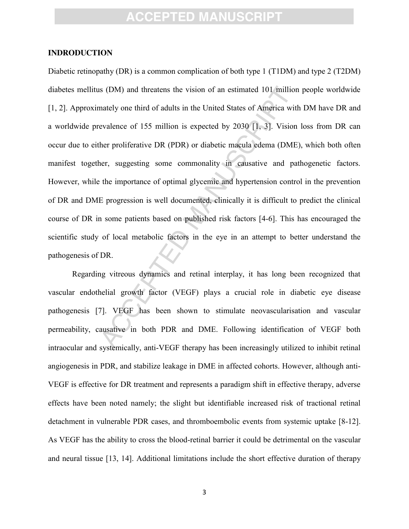#### **INDRODUCTION**

S (DM) and threatens the vision of an estimated 101 milliontately one third of adults in the United States of America wevalence of 155 million is expected by 2030 [1, 3]. Vision her proliferative DR (PDR) or diabetic macul Diabetic retinopathy (DR) is a common complication of both type 1 (T1DM) and type 2 (T2DM) diabetes mellitus (DM) and threatens the vision of an estimated 101 million people worldwide [\[1,](#page-16-0) [2\]](#page-16-1). Approximately one third of adults in the United States of America with DM have DR and a worldwide prevalence of 155 million is expected by 2030 [1, 3]. Vision loss from DR can occur due to either proliferative DR (PDR) or diabetic macula edema (DME), which both often manifest together, suggesting some commonality in causative and pathogenetic factors. However, while the importance of optimal glycemic and hypertension control in the prevention of DR and DME progression is well documented, clinically it is difficult to predict the clinical course of DR in some patients based on published risk factors [4-6]. This has encouraged the scientific study of local metabolic factors in the eye in an attempt to better understand the pathogenesis of DR.

Regarding vitreous dynamics and retinal interplay, it has long been recognized that vascular endothelial growth factor (VEGF) plays a crucial role in diabetic eye disease pathogenesis [7]. VEGF has been shown to stimulate neovascularisation and vascular permeability, causative in both PDR and DME. Following identification of VEGF both intraocular and systemically, anti-VEGF therapy has been increasingly utilized to inhibit retinal angiogenesis in PDR, and stabilize leakage in DME in affected cohorts. However, although anti-VEGF is effective for DR treatment and represents a paradigm shift in effective therapy, adverse effects have been noted namely; the slight but identifiable increased risk of tractional retinal detachment in vulnerable PDR cases, and thromboembolic events from systemic uptake [\[8-12\]](#page-16-5). As VEGF has the ability to cross the blood-retinal barrier it could be detrimental on the vascular and neural tissue [\[13,](#page-16-6) [14\]](#page-16-7). Additional limitations include the short effective duration of therapy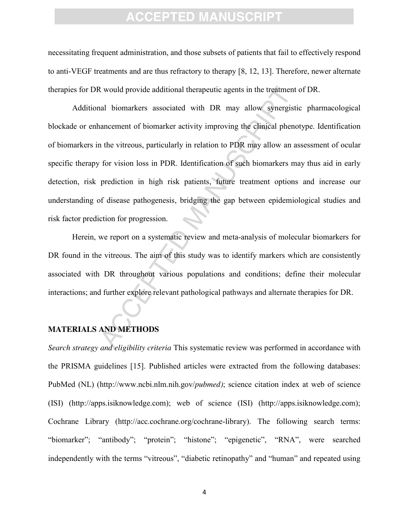necessitating frequent administration, and those subsets of patients that fail to effectively respond to anti-VEGF treatments and are thus refractory to therapy [\[8,](#page-16-5) [12,](#page-16-8) [13\]](#page-16-6). Therefore, newer alternate therapies for DR would provide additional therapeutic agents in the treatment of DR.

New all provide additional therapeutic agents in the treatment<br>
all biomarkers associated with DR may allow synergi<br>
ancement of biomarker activity improving the clinical phe<br>
1 the vitreous, particularly in relation to PD Additional biomarkers associated with DR may allow synergistic pharmacological blockade or enhancement of biomarker activity improving the clinical phenotype. Identification of biomarkers in the vitreous, particularly in relation to PDR may allow an assessment of ocular specific therapy for vision loss in PDR. Identification of such biomarkers may thus aid in early detection, risk prediction in high risk patients, future treatment options and increase our understanding of disease pathogenesis, bridging the gap between epidemiological studies and risk factor prediction for progression.

Herein, we report on a systematic review and meta-analysis of molecular biomarkers for DR found in the vitreous. The aim of this study was to identify markers which are consistently associated with DR throughout various populations and conditions; define their molecular interactions; and further explore relevant pathological pathways and alternate therapies for DR.

#### **MATERIALS AND METHODS**

*Search strategy and eligibility criteria* This systematic review was performed in accordance with the PRISMA guidelines [\[15\]](#page-16-9). Published articles were extracted from the following databases: PubMed (NL) (http://www.ncbi.nlm.nih.gov/*pubmed)*; science citation index at web of science (ISI) (http://apps.isiknowledge.com); web of science (ISI) (http://apps.isiknowledge.com); Cochrane Library (http://acc.cochrane.org/cochrane-library). The following search terms: "biomarker"; "antibody"; "protein"; "histone"; "epigenetic", "RNA", were searched independently with the terms "vitreous", "diabetic retinopathy" and "human" and repeated using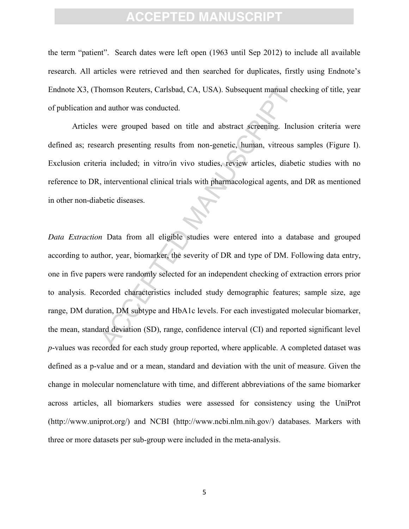the term "patient". Search dates were left open (1963 until Sep 2012) to include all available research. All articles were retrieved and then searched for duplicates, firstly using Endnote's Endnote X3, (Thomson Reuters, Carlsbad, CA, USA). Subsequent manual checking of title, year of publication and author was conducted.

Articles were grouped based on title and abstract screening. Inclusion criteria were defined as; research presenting results from non-genetic, human, vitreous samples (Figure I). Exclusion criteria included; in vitro/in vivo studies, review articles, diabetic studies with no reference to DR, interventional clinical trials with pharmacological agents, and DR as mentioned in other non-diabetic diseases.

Momson Reuters, Carlsbad, CA, USA). Subsequent manual and author was conducted.<br>
were grouped based on title and abstract screening. In<br>
arach presenting results from non-genetic, human, vitreou.<br>
rai included; in vitro/in *Data Extraction* Data from all eligible studies were entered into a database and grouped according to author, year, biomarker, the severity of DR and type of DM. Following data entry, one in five papers were randomly selected for an independent checking of extraction errors prior to analysis. Recorded characteristics included study demographic features; sample size, age range, DM duration, DM subtype and HbA1c levels. For each investigated molecular biomarker, the mean, standard deviation (SD), range, confidence interval (CI) and reported significant level *p*-values was recorded for each study group reported, where applicable. A completed dataset was defined as a p-value and or a mean, standard and deviation with the unit of measure. Given the change in molecular nomenclature with time, and different abbreviations of the same biomarker across articles, all biomarkers studies were assessed for consistency using the UniProt [\(http://www.uniprot.org/\)](http://www.uniprot.org/) and NCBI [\(http://www.ncbi.nlm.nih.gov/\)](http://www.ncbi.nlm.nih.gov/) databases. Markers with three or more datasets per sub-group were included in the meta-analysis.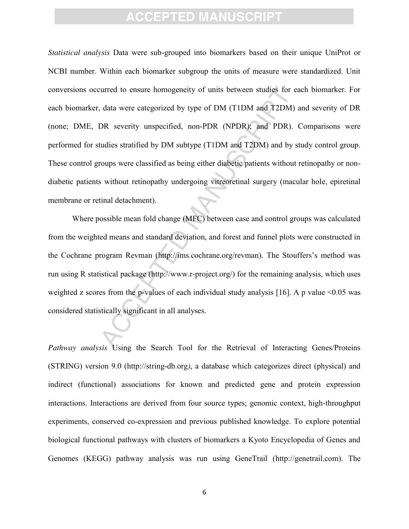curred to ensure homogeneity of units between studies for<br>
data were categorized by type of DM (TIDM and T2DM<br>
DR severity unspecified, non-PDR (NPDR); and PDR)<br>
tudies stratified by DM subtype (TIDM and T2DM) and by<br>
roup *Statistical analysis* Data were sub-grouped into biomarkers based on their unique UniProt or NCBI number. Within each biomarker subgroup the units of measure were standardized. Unit conversions occurred to ensure homogeneity of units between studies for each biomarker. For each biomarker, data were categorized by type of DM (T1DM and T2DM) and severity of DR (none; DME, DR severity unspecified, non-PDR (NPDR); and PDR). Comparisons were performed for studies stratified by DM subtype (T1DM and T2DM) and by study control group. These control groups were classified as being either diabetic patients without retinopathy or nondiabetic patients without retinopathy undergoing vitreoretinal surgery (macular hole, epiretinal membrane or retinal detachment).

Where possible mean fold change (MFC) between case and control groups was calculated from the weighted means and standard deviation, and forest and funnel plots were constructed in the Cochrane program Revman (http://ims.cochrane.org/revman). The Stouffers's method was run using R statistical package (http://www.r-project.org/) for the remaining analysis, which uses weighted z scores from the p-values of each individual study analysis [16]. A p value  $\leq 0.05$  was considered statistically significant in all analyses.

*Pathway analysis* Using the Search Tool for the Retrieval of Interacting Genes/Proteins (STRING) version 9.0 (http://string-db.org*)*, a database which categorizes direct (physical) and indirect (functional) associations for known and predicted gene and protein expression interactions. Interactions are derived from four source types; genomic context, high-throughput experiments, conserved co-expression and previous published knowledge. To explore potential biological functional pathways with clusters of biomarkers a Kyoto Encyclopedia of Genes and Genomes (KEGG) pathway analysis was run using GeneTrail [\(http://genetrail.com\)](http://genetrail.com/). The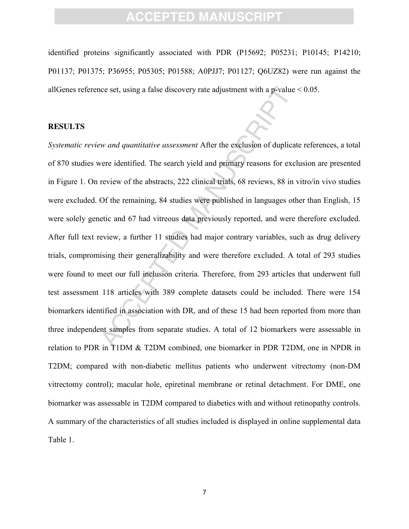identified proteins significantly associated with PDR (P15692; P05231; P10145; P14210; P01137; P01375; P36955; P05305; P01588; A0PJJ7; P01127; Q6UZ82) were run against the allGenes reference set, using a false discovery rate adjustment with a p-value < 0.05.

#### **RESULTS**

ice set, using a false discovery rate adjustment with a p-value and *quantitative assessment* After the exclusion of duplice were identified. The search yield and primary reasons for experieve of the abstracts, 222 clinica *Systematic review and quantitative assessment* After the exclusion of duplicate references, a total of 870 studies were identified. The search yield and primary reasons for exclusion are presented in Figure 1. On review of the abstracts, 222 clinical trials, 68 reviews, 88 in vitro/in vivo studies were excluded. Of the remaining, 84 studies were published in languages other than English, 15 were solely genetic and 67 had vitreous data previously reported, and were therefore excluded. After full text review, a further 11 studies had major contrary variables, such as drug delivery trials, compromising their generalizability and were therefore excluded. A total of 293 studies were found to meet our full inclusion criteria. Therefore, from 293 articles that underwent full test assessment 118 articles with 389 complete datasets could be included. There were 154 biomarkers identified in association with DR, and of these 15 had been reported from more than three independent samples from separate studies. A total of 12 biomarkers were assessable in relation to PDR in T1DM & T2DM combined, one biomarker in PDR T2DM, one in NPDR in T2DM; compared with non-diabetic mellitus patients who underwent vitrectomy (non-DM vitrectomy control); macular hole, epiretinal membrane or retinal detachment. For DME, one biomarker was assessable in T2DM compared to diabetics with and without retinopathy controls. A summary of the characteristics of all studies included is displayed in online supplemental data Table 1.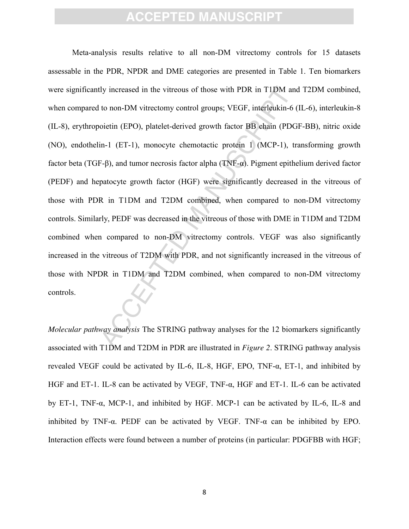dy increased in the vitreous of those with PDR in T1DM at<br>to non-DM vitrectomy control groups; VEGF, interleukin-<br>oietin (EPO), platelet-derived growth factor BB ehain (PD<br>in-1 (ET-1), monocyte chemotactic protein 1 (MCP-Meta-analysis results relative to all non-DM vitrectomy controls for 15 datasets assessable in the PDR, NPDR and DME categories are presented in Table 1. Ten biomarkers were significantly increased in the vitreous of those with PDR in T1DM and T2DM combined, when compared to non-DM vitrectomy control groups; VEGF, interleukin-6 (IL-6), interleukin-8 (IL-8), erythropoietin (EPO), platelet-derived growth factor BB chain (PDGF-BB), nitric oxide (NO), endothelin-1 (ET-1), monocyte chemotactic protein 1 (MCP-1), transforming growth factor beta (TGF-β), and tumor necrosis factor alpha (TNF-α). Pigment epithelium derived factor (PEDF) and hepatocyte growth factor (HGF) were significantly decreased in the vitreous of those with PDR in T1DM and T2DM combined, when compared to non-DM vitrectomy controls. Similarly, PEDF was decreased in the vitreous of those with DME in T1DM and T2DM combined when compared to non-DM vitrectomy controls. VEGF was also significantly increased in the vitreous of T2DM with PDR, and not significantly increased in the vitreous of those with NPDR in T1DM and T2DM combined, when compared to non-DM vitrectomy controls.

*Molecular pathway analysis* The STRING pathway analyses for the 12 biomarkers significantly associated with T1DM and T2DM in PDR are illustrated in *Figure 2*. STRING pathway analysis revealed VEGF could be activated by IL-6, IL-8, HGF, EPO,  $TNF-\alpha$ , ET-1, and inhibited by HGF and ET-1. IL-8 can be activated by VEGF, TNF-α, HGF and ET-1. IL-6 can be activated by ET-1, TNF-α, MCP-1, and inhibited by HGF. MCP-1 can be activated by IL-6, IL-8 and inhibited by TNF- $\alpha$ . PEDF can be activated by VEGF. TNF- $\alpha$  can be inhibited by EPO. Interaction effects were found between a number of proteins (in particular: PDGFBB with HGF;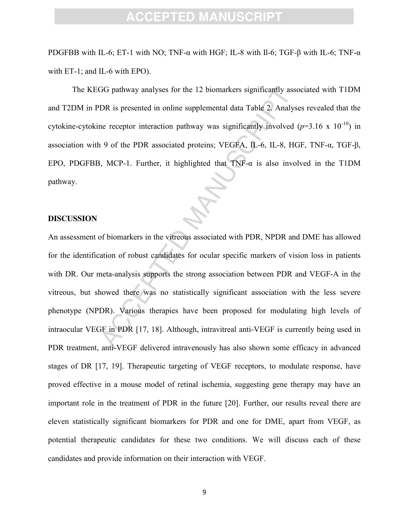PDGFBB with IL-6; ET-1 with NO; TNF- $\alpha$  with HGF; IL-8 with II-6; TGF-β with IL-6; TNF- $\alpha$ with ET-1; and IL-6 with EPO).

The KEGG pathway analyses for the 12 biomarkers significantly associated with T1DM and T2DM in PDR is presented in online supplemental data Table 2. Analyses revealed that the cytokine-cytokine receptor interaction pathway was significantly involved  $(p=3.16 \times 10^{-10})$  in association with 9 of the PDR associated proteins; VEGFA, IL-6, IL-8, HGF, TNF-α, TGF-β, EPO, PDGFBB, MCP-1. Further, it highlighted that  $TNF-\alpha$  is also involved in the T1DM pathway.

#### **DISCUSSION**

GG pathway analyses for the 12 biomarkers significantly as<br>
DR is presented in online supplemental data Table 2. Anal,<br>
ne receptor interaction pathway was significantly involved<br>
19 of the PDR associated proteins; VEGFA, An assessment of biomarkers in the vitreous associated with PDR, NPDR and DME has allowed for the identification of robust candidates for ocular specific markers of vision loss in patients with DR. Our meta-analysis supports the strong association between PDR and VEGF-A in the vitreous, but showed there was no statistically significant association with the less severe phenotype (NPDR). Various therapies have been proposed for modulating high levels of intraocular VEGF in PDR [17, 18]. Although, intravitreal anti-VEGF is currently being used in PDR treatment, anti-VEGF delivered intravenously has also shown some efficacy in advanced stages of DR [17, [19\]](#page-16-12). Therapeutic targeting of VEGF receptors, to modulate response, have proved effective in a mouse model of retinal ischemia, suggesting gene therapy may have an important role in the treatment of PDR in the future [\[20\]](#page-16-13). Further, our results reveal there are eleven statistically significant biomarkers for PDR and one for DME, apart from VEGF, as potential therapeutic candidates for these two conditions. We will discuss each of these candidates and provide information on their interaction with VEGF.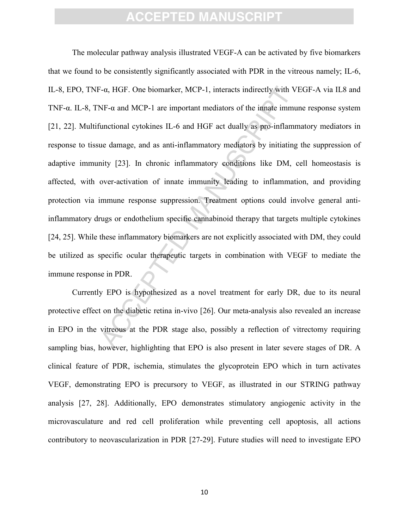<sup>2-</sup>α, HGF. One biomarker, MCP-1, interacts indirectly with<br>NF- $\alpha$  and MCP-1 are important mediators of the imate imn<br>unctional cytokines IL-6 and HGF act dually as pro-inflant<br>ue damage, and as anti-inflammatory mediat The molecular pathway analysis illustrated VEGF-A can be activated by five biomarkers that we found to be consistently significantly associated with PDR in the vitreous namely; IL-6, IL-8, EPO, TNF-α, HGF. One biomarker, MCP-1, interacts indirectly with VEGF-A via IL8 and TNF-α. IL-8, TNF-α and MCP-1 are important mediators of the innate immune response system [\[21,](#page-17-0) [22\]](#page-17-1). Multifunctional cytokines IL-6 and HGF act dually as pro-inflammatory mediators in response to tissue damage, and as anti-inflammatory mediators by initiating the suppression of adaptive immunity [23]. In chronic inflammatory conditions like DM, cell homeostasis is affected, with over-activation of innate immunity leading to inflammation, and providing protection via immune response suppression. Treatment options could involve general antiinflammatory drugs or endothelium specific cannabinoid therapy that targets multiple cytokines [\[24,](#page-17-3) [25\]](#page-17-4). While these inflammatory biomarkers are not explicitly associated with DM, they could be utilized as specific ocular therapeutic targets in combination with VEGF to mediate the immune response in PDR.

Currently EPO is hypothesized as a novel treatment for early DR, due to its neural protective effect on the diabetic retina in-vivo [26]. Our meta-analysis also revealed an increase in EPO in the vitreous at the PDR stage also, possibly a reflection of vitrectomy requiring sampling bias, however, highlighting that EPO is also present in later severe stages of DR. A clinical feature of PDR, ischemia, stimulates the glycoprotein EPO which in turn activates VEGF, demonstrating EPO is precursory to VEGF, as illustrated in our STRING pathway analysis [\[27,](#page-17-6) [28\]](#page-17-7). Additionally, EPO demonstrates stimulatory angiogenic activity in the microvasculature and red cell proliferation while preventing cell apoptosis, all actions contributory to neovascularization in PDR [\[27-29\]](#page-17-6). Future studies will need to investigate EPO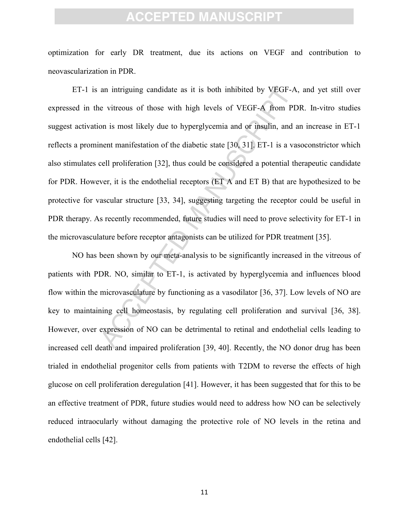optimization for early DR treatment, due its actions on VEGF and contribution to neovascularization in PDR.

an intriguing candidate as it is both inhibited by VEGF-<br>e vitreous of those with high levels of VEGF-A from I<br>on is most likely due to hyperglycemia and or insulin, and<br>nent manifestation of the diabetic state [30, 31]. ET-1 is an intriguing candidate as it is both inhibited by VEGF-A, and yet still over expressed in the vitreous of those with high levels of VEGF-A from PDR. In-vitro studies suggest activation is most likely due to hyperglycemia and or insulin, and an increase in ET-1 reflects a prominent manifestation of the diabetic state [30, 31]. ET-1 is a vasoconstrictor which also stimulates cell proliferation [32], thus could be considered a potential therapeutic candidate for PDR. However, it is the endothelial receptors (ET A and ET B) that are hypothesized to be protective for vascular structure [33, 34], suggesting targeting the receptor could be useful in PDR therapy. As recently recommended, future studies will need to prove selectivity for ET-1 in the microvasculature before receptor antagonists can be utilized for PDR treatment [\[35\]](#page-17-13).

NO has been shown by our meta-analysis to be significantly increased in the vitreous of patients with PDR. NO, similar to ET-1, is activated by hyperglycemia and influences blood flow within the microvasculature by functioning as a vasodilator [36, 37]. Low levels of NO are key to maintaining cell homeostasis, by regulating cell proliferation and survival [\[36,](#page-17-14) [38\]](#page-17-16). However, over expression of NO can be detrimental to retinal and endothelial cells leading to increased cell death and impaired proliferation [\[39,](#page-17-17) [40\]](#page-17-18). Recently, the NO donor drug has been trialed in endothelial progenitor cells from patients with T2DM to reverse the effects of high glucose on cell proliferation deregulation [\[41\]](#page-18-0). However, it has been suggested that for this to be an effective treatment of PDR, future studies would need to address how NO can be selectively reduced intraocularly without damaging the protective role of NO levels in the retina and endothelial cells [\[42\]](#page-18-1).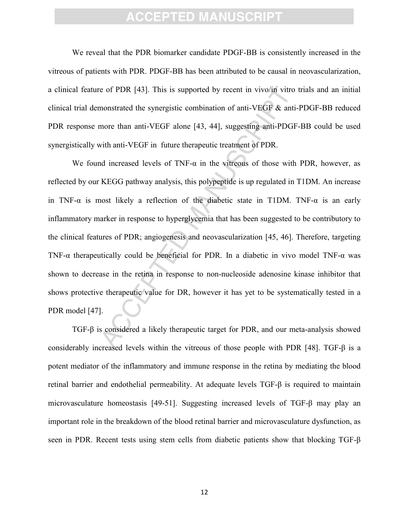We reveal that the PDR biomarker candidate PDGF-BB is consistently increased in the vitreous of patients with PDR. PDGF-BB has been attributed to be causal in neovascularization, a clinical feature of PDR [43]. This is supported by recent in vivo/in vitro trials and an initial clinical trial demonstrated the synergistic combination of anti-VEGF & anti-PDGF-BB reduced PDR response more than anti-VEGF alone [43, 44], suggesting anti-PDGF-BB could be used synergistically with anti-VEGF in future therapeutic treatment of PDR.

e of PDR [43]. This is supported by recent in vivo/in vitr<br>monstrated the synergistic combination of anti-VEGF & an<br>more than anti-VEGF alone [43, 44], suggesting anti-PDC<br>with anti-VEGF in future therapeutic treatment of We found increased levels of  $TNF-\alpha$  in the vitreous of those with PDR, however, as reflected by our KEGG pathway analysis, this polypeptide is up regulated in T1DM. An increase in TNF- $\alpha$  is most likely a reflection of the diabetic state in T1DM. TNF- $\alpha$  is an early inflammatory marker in response to hyperglycemia that has been suggested to be contributory to the clinical features of PDR; angiogenesis and neovascularization [45, 46]. Therefore, targeting TNF-α therapeutically could be beneficial for PDR. In a diabetic in vivo model TNF-α was shown to decrease in the retina in response to non-nucleoside adenosine kinase inhibitor that shows protective therapeutic value for DR, however it has yet to be systematically tested in a PDR model [\[47\]](#page-18-6).

TGF-β is considered a likely therapeutic target for PDR, and our meta-analysis showed considerably increased levels within the vitreous of those people with PDR [\[48\]](#page-18-7). TGF-β is a potent mediator of the inflammatory and immune response in the retina by mediating the blood retinal barrier and endothelial permeability. At adequate levels TGF-β is required to maintain microvasculature homeostasis [\[49-51\]](#page-18-8). Suggesting increased levels of TGF-β may play an important role in the breakdown of the blood retinal barrier and microvasculature dysfunction, as seen in PDR. Recent tests using stem cells from diabetic patients show that blocking TGF-β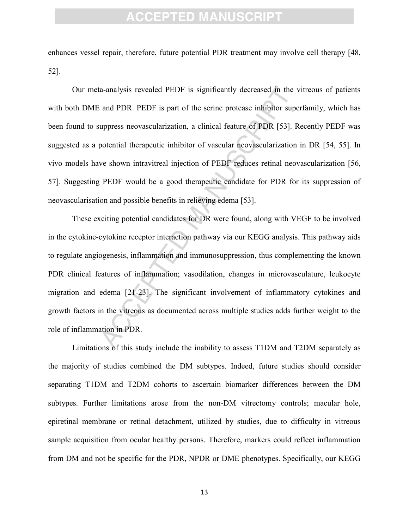enhances vessel repair, therefore, future potential PDR treatment may involve cell therapy [\[48,](#page-18-7) [52\]](#page-18-9).

a-analysis revealed PEDF is significantly decreased in the<br>and PDR. PEDF is part of the serine protease inhibitor su<br>uppress neovascularization, a clinical feature of PDR [53].<br>potential therapeutic inhibitor of vascular n Our meta-analysis revealed PEDF is significantly decreased in the vitreous of patients with both DME and PDR. PEDF is part of the serine protease inhibitor superfamily, which has been found to suppress neovascularization, a clinical feature of PDR [53]. Recently PEDF was suggested as a potential therapeutic inhibitor of vascular neovascularization in DR [\[54,](#page-18-11) [55\]](#page-18-12). In vivo models have shown intravitreal injection of PEDF reduces retinal neovascularization [\[56,](#page-18-13) [57\]](#page-18-14). Suggesting PEDF would be a good therapeutic candidate for PDR for its suppression of neovascularisation and possible benefits in relieving edema [53].

These exciting potential candidates for DR were found, along with VEGF to be involved in the cytokine-cytokine receptor interaction pathway via our KEGG analysis. This pathway aids to regulate angiogenesis, inflammation and immunosuppression, thus complementing the known PDR clinical features of inflammation; vasodilation, changes in microvasculature, leukocyte migration and edema [21-23]. The significant involvement of inflammatory cytokines and growth factors in the vitreous as documented across multiple studies adds further weight to the role of inflammation in PDR.

Limitations of this study include the inability to assess T1DM and T2DM separately as the majority of studies combined the DM subtypes. Indeed, future studies should consider separating T1DM and T2DM cohorts to ascertain biomarker differences between the DM subtypes. Further limitations arose from the non-DM vitrectomy controls; macular hole, epiretinal membrane or retinal detachment, utilized by studies, due to difficulty in vitreous sample acquisition from ocular healthy persons. Therefore, markers could reflect inflammation from DM and not be specific for the PDR, NPDR or DME phenotypes. Specifically, our KEGG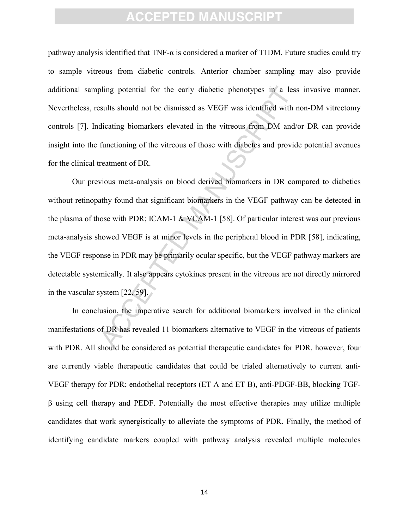pathway analysis identified that TNF-α is considered a marker of T1DM. Future studies could try to sample vitreous from diabetic controls. Anterior chamber sampling may also provide additional sampling potential for the early diabetic phenotypes in a less invasive manner. Nevertheless, results should not be dismissed as VEGF was identified with non-DM vitrectomy controls [\[7\]](#page-16-4). Indicating biomarkers elevated in the vitreous from DM and/or DR can provide insight into the functioning of the vitreous of those with diabetes and provide potential avenues for the clinical treatment of DR.

bling potential for the early diabetic phenotypes in a leads<br>sults should not be dismissed as VEGF was identified with<br>dicating biomarkers elevated in the vitreous from DM an<br>functioning of the vitreous of those with diabe Our previous meta-analysis on blood derived biomarkers in DR compared to diabetics without retinopathy found that significant biomarkers in the VEGF pathway can be detected in the plasma of those with PDR; ICAM-1 & VCAM-1 [58]. Of particular interest was our previous meta-analysis showed VEGF is at minor levels in the peripheral blood in PDR [58], indicating, the VEGF response in PDR may be primarily ocular specific, but the VEGF pathway markers are detectable systemically. It also appears cytokines present in the vitreous are not directly mirrored in the vascular system [22, 59].

In conclusion, the imperative search for additional biomarkers involved in the clinical manifestations of DR has revealed 11 biomarkers alternative to VEGF in the vitreous of patients with PDR. All should be considered as potential therapeutic candidates for PDR, however, four are currently viable therapeutic candidates that could be trialed alternatively to current anti-VEGF therapy for PDR; endothelial receptors (ET A and ET B), anti-PDGF-BB, blocking TGFβ using cell therapy and PEDF. Potentially the most effective therapies may utilize multiple candidates that work synergistically to alleviate the symptoms of PDR. Finally, the method of identifying candidate markers coupled with pathway analysis revealed multiple molecules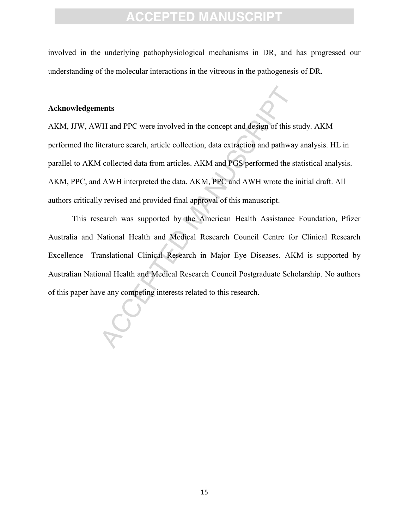involved in the underlying pathophysiological mechanisms in DR, and has progressed our understanding of the molecular interactions in the vitreous in the pathogenesis of DR.

#### **Acknowledgements**

The and PPC were involved in the concept and design of this<br>terature search, article collection, data extraction and pathw<br>I collected data from articles. AKM and PGS performed the<br>H AWH interpreted the data. AKM, PPC and AKM, JJW, AWH and PPC were involved in the concept and design of this study. AKM performed the literature search, article collection, data extraction and pathway analysis. HL in parallel to AKM collected data from articles. AKM and PGS performed the statistical analysis. AKM, PPC, and AWH interpreted the data. AKM, PPC and AWH wrote the initial draft. All authors critically revised and provided final approval of this manuscript.

This research was supported by the American Health Assistance Foundation, Pfizer Australia and National Health and Medical Research Council Centre for Clinical Research Excellence– Translational Clinical Research in Major Eye Diseases. AKM is supported by Australian National Health and Medical Research Council Postgraduate Scholarship. No authors of this paper have any competing interests related to this research.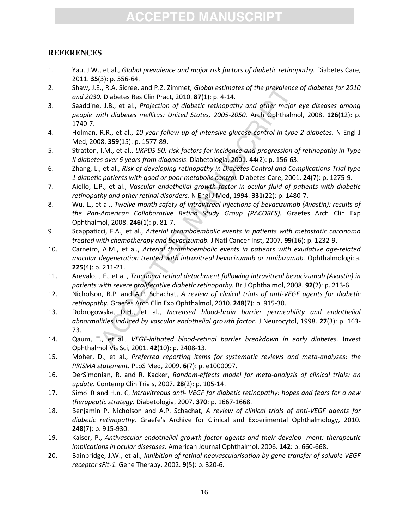#### **REFERENCES**

- <span id="page-16-0"></span>1. Yau, J.W., et al., *Global prevalence and major risk factors of diabetic retinopathy.* Diabetes Care, 2011. **35**(3): p. 556-64.
- <span id="page-16-1"></span>2. Shaw, J.E., R.A. Sicree, and P.Z. Zimmet, *Global estimates of the prevalence of diabetes for 2010 and 2030.* Diabetes Res Clin Pract, 2010. **87**(1): p. 4-14.
- <span id="page-16-2"></span>., R.A. Sicree, and P.Z. Zimmet, *Global estimates of the prevalen*<br>
b. Diabetes Res Clin Pract, 2010. **87**(1): p. 4-14.<br>
J. B., et al., *Projection of diabetic retinopathy and other majuth diabetes mellitus: United States* 3. Saaddine, J.B., et al., *Projection of diabetic retinopathy and other major eye diseases among people with diabetes mellitus: United States, 2005-2050.* Arch Ophthalmol, 2008. **126**(12): p. 1740-7.
- <span id="page-16-3"></span>4. Holman, R.R., et al., *10-year follow-up of intensive glucose control in type 2 diabetes.* N Engl J Med, 2008. **359**(15): p. 1577-89.
- 5. Stratton, I.M., et al., *UKPDS 50: risk factors for incidence and progression of retinopathy in Type II diabetes over 6 years from diagnosis.* Diabetologia, 2001. **44**(2): p. 156-63.
- 6. Zhang, L., et al., *Risk of developing retinopathy in Diabetes Control and Complications Trial type 1 diabetic patients with good or poor metabolic control.* Diabetes Care, 2001. **24**(7): p. 1275-9.
- <span id="page-16-4"></span>7. Aiello, L.P., et al., *Vascular endothelial growth factor in ocular fluid of patients with diabetic retinopathy and other retinal disorders.* N Engl J Med, 1994. **331**(22): p. 1480-7.
- <span id="page-16-5"></span>8. Wu, L., et al., *Twelve-month safety of intravitreal injections of bevacizumab (Avastin): results of the Pan-American Collaborative Retina Study Group (PACORES).* Graefes Arch Clin Exp Ophthalmol, 2008. **246**(1): p. 81-7.
- 9. Scappaticci, F.A., et al., *Arterial thromboembolic events in patients with metastatic carcinoma treated with chemotherapy and bevacizumab.* J Natl Cancer Inst, 2007. **99**(16): p. 1232-9.
- 10. Carneiro, A.M., et al., *Arterial thromboembolic events in patients with exudative age-related macular degeneration treated with intravitreal bevacizumab or ranibizumab.* Ophthalmologica. **225**(4): p. 211-21.
- 11. Arevalo, J.F., et al., *Tractional retinal detachment following intravitreal bevacizumab (Avastin) in patients with severe proliferative diabetic retinopathy.* Br J Ophthalmol, 2008. **92**(2): p. 213-6.
- <span id="page-16-8"></span>12. Nicholson, B.P. and A.P. Schachat, *A review of clinical trials of anti-VEGF agents for diabetic retinopathy.* Graefes Arch Clin Exp Ophthalmol, 2010. **248**(7): p. 915-30.
- <span id="page-16-6"></span>13. Dobrogowska, D.H., et al., *Increased blood-brain barrier permeability and endothelial abnormalities induced by vascular endothelial growth factor.* J Neurocytol, 1998. **27**(3): p. 163- 73.
- <span id="page-16-7"></span>14. Qaum, T., et al., *VEGF-initiated blood-retinal barrier breakdown in early diabetes.* Invest Ophthalmol Vis Sci, 2001. **42**(10): p. 2408-13.
- <span id="page-16-9"></span>15. Moher, D., et al., *Preferred reporting items for systematic reviews and meta-analyses: the PRISMA statement.* PLoS Med, 2009. **6**(7): p. e1000097.
- <span id="page-16-10"></span>16. DerSimonian, R. and R. Kacker, *Random-effects model for meta-analysis of clinical trials: an update.* Contemp Clin Trials, 2007. **28**(2): p. 105-14.
- 17. *Intravitreous anti- VEGF for diabetic retinopathy: hopes and fears for a new therapeutic strategy.* Diabetologia, 2007. **370**: p. 1667-1668.
- <span id="page-16-11"></span>18. Benjamin P. Nicholson and A.P. Schachat, *A review of clinical trials of anti-VEGF agents for diabetic retinopathy.* Graefe's Archive for Clinical and Experimental Ophthalmology, 2010. **248**(7): p. 915-930.
- <span id="page-16-12"></span>19. Kaiser, P., *Antivascular endothelial growth factor agents and their develop- ment: therapeutic implications in ocular disesases.* American Journal Ophthalmol, 2006. **142**: p. 660-668.
- <span id="page-16-13"></span>20. Bainbridge, J.W., et al., *Inhibition of retinal neovascularisation by gene transfer of soluble VEGF receptor sFlt-1.* Gene Therapy, 2002. **9**(5): p. 320-6.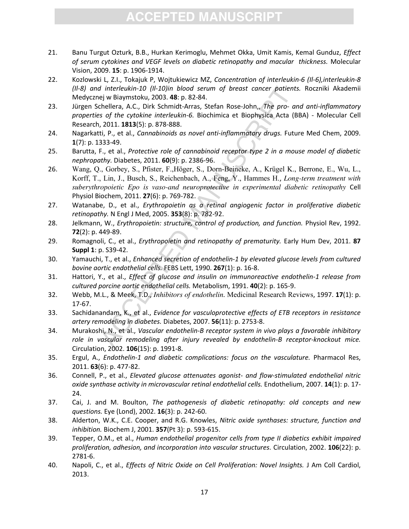- <span id="page-17-0"></span>21. Banu Turgut Ozturk, B.B., Hurkan Kerimoglu, Mehmet Okka, Umit Kamis, Kemal Gunduz, *Effect of serum cytokines and VEGF levels on diabetic retinopathy and macular thickness.* Molecular Vision, 2009. **15**: p. 1906-1914.
- <span id="page-17-1"></span>22. Kozlowski L, Z.I., Tokajuk P, Wojtukiewicz MZ, *Concentration of interleukin-6 (Il-6),interleukin-8 (Il-8) and interleukin-10 (Il-10)in blood serum of breast cancer patients.* Roczniki Akademii Medycznej w Biaymstoku, 2003. **48**: p. 82-84.
- <span id="page-17-2"></span>23. Jürgen Schellera, A.C., Dirk Schmidt-Arras, Stefan Rose-John,, *The pro- and anti-inflammatory properties of the cytokine interleukin-6.* Biochimica et Biophysica Acta (BBA) - Molecular Cell Research, 2011. **1813**(5): p. 878-888.
- <span id="page-17-3"></span>24. Nagarkatti, P., et al., *Cannabinoids as novel anti-inflammatory drugs.* Future Med Chem, 2009. **1**(7): p. 1333-49.
- <span id="page-17-5"></span><span id="page-17-4"></span>25. Barutta, F., et al., *Protective role of cannabinoid receptor type 2 in a mouse model of diabetic nephropathy.* Diabetes, 2011. **60**(9): p. 2386-96.
- *I* interleukin-10 (II-10)in blood serum of breast cancer paties<br>
ej w Biaymstoku, 2003. 48: p. 82-84.<br>
chellera, A.C., Dirk Schmidt-Arras, Stefan Rose-John, The pro-<br>
so f the cytokine interleukin-6. Biochimica et Biophy 26. Wang, Q., Gorbey, S., Pfister, F.,Höger, S., Dorn-Beineke, A., Krügel K., Berrone, E., Wu, L., Korff, T., Lin, J., Busch, S., Reichenbach, A., Feng, Y., Hammes H., *Long-term treatment with suberythropoietic Epo is vaso-and neuroprotective in experimental diabetic retinopathy* Cell Physiol Biochem, 2011. **27**(6): p. 769-782.
- <span id="page-17-6"></span>27. Watanabe, D., et al., *Erythropoietin as a retinal angiogenic factor in proliferative diabetic retinopathy.* N Engl J Med, 2005. **353**(8): p. 782-92.
- <span id="page-17-7"></span>28. Jelkmann, W., *Erythropoietin: structure, control of production, and function.* Physiol Rev, 1992. **72**(2): p. 449-89.
- 29. Romagnoli, C., et al., *Erythropoietin and retinopathy of prematurity.* Early Hum Dev, 2011. **87 Suppl 1**: p. S39-42.
- <span id="page-17-8"></span>30. Yamauchi, T., et al., *Enhanced secretion of endothelin-1 by elevated glucose levels from cultured bovine aortic endothelial cells.* FEBS Lett, 1990. **267**(1): p. 16-8.
- <span id="page-17-9"></span>31. Hattori, Y., et al., *Effect of glucose and insulin on immunoreactive endothelin-1 release from cultured porcine aortic endothelial cells.* Metabolism, 1991. **40**(2): p. 165-9.
- <span id="page-17-10"></span>32. Webb, M.L., & Meek, T.D., *Inhibitors of endothelin.* Medicinal Research Reviews, 1997. **17**(1): p. 17-67.
- <span id="page-17-11"></span>33. Sachidanandam, K., et al., *Evidence for vasculoprotective effects of ETB receptors in resistance artery remodeling in diabetes.* Diabetes, 2007. **56**(11): p. 2753-8.
- <span id="page-17-12"></span>34. Murakoshi, N., et al., *Vascular endothelin-B receptor system in vivo plays a favorable inhibitory role in vascular remodeling after injury revealed by endothelin-B receptor-knockout mice.* Circulation, 2002. **106**(15): p. 1991-8.
- <span id="page-17-13"></span>35. Ergul, A., *Endothelin-1 and diabetic complications: focus on the vasculature.* Pharmacol Res, 2011. **63**(6): p. 477-82.
- <span id="page-17-14"></span>36. Connell, P., et al., *Elevated glucose attenuates agonist- and flow-stimulated endothelial nitric oxide synthase activity in microvascular retinal endothelial cells.* Endothelium, 2007. **14**(1): p. 17- 24.
- <span id="page-17-15"></span>37. Cai, J. and M. Boulton, *The pathogenesis of diabetic retinopathy: old concepts and new questions.* Eye (Lond), 2002. **16**(3): p. 242-60.
- <span id="page-17-16"></span>38. Alderton, W.K., C.E. Cooper, and R.G. Knowles, *Nitric oxide synthases: structure, function and inhibition.* Biochem J, 2001. **357**(Pt 3): p. 593-615.
- <span id="page-17-17"></span>39. Tepper, O.M., et al., *Human endothelial progenitor cells from type II diabetics exhibit impaired proliferation, adhesion, and incorporation into vascular structures.* Circulation, 2002. **106**(22): p. 2781-6.
- <span id="page-17-18"></span>40. Napoli, C., et al., *Effects of Nitric Oxide on Cell Proliferation: Novel Insights.* J Am Coll Cardiol, 2013.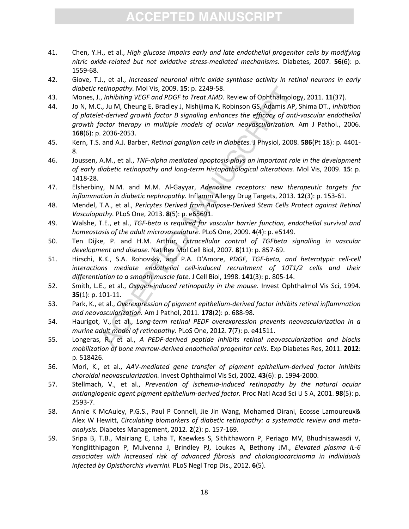- <span id="page-18-0"></span>41. Chen, Y.H., et al., *High glucose impairs early and late endothelial progenitor cells by modifying nitric oxide-related but not oxidative stress-mediated mechanisms.* Diabetes, 2007. **56**(6): p. 1559-68.
- <span id="page-18-1"></span>42. Giove, T.J., et al., *Increased neuronal nitric oxide synthase activity in retinal neurons in early diabetic retinopathy.* Mol Vis, 2009. **15**: p. 2249-58.
- <span id="page-18-3"></span><span id="page-18-2"></span>43. Mones, J., *Inhibiting VEGF and PDGF to Treat AMD.* Review of Ophthalmology, 2011. **11**(37).
- etinopathy. Mol Vis, 2009. 15: p. 2249-58.<br>
,, Inhibiting VEGF and PDGF to Treat AMD. Review of Ophthalmo, in thibiting VEGF and PDGF to Treat AMD. Review of Ophthalmo, in U., D. N. Cheung E, Bradley J, Nishijima K, Robins 44. Jo N, M.C., Ju M, Cheung E, Bradley J, Nishijima K, Robinson GS, Adamis AP, Shima DT., *Inhibition of platelet-derived growth factor B signaling enhances the efficacy of anti-vascular endothelial growth factor therapy in multiple models of ocular neovascularization.* Am J Pathol., 2006. **168**(6): p. 2036-2053.
- <span id="page-18-4"></span>45. Kern, T.S. and A.J. Barber, *Retinal ganglion cells in diabetes.* J Physiol, 2008. **586**(Pt 18): p. 4401- 8.
- <span id="page-18-5"></span>46. Joussen, A.M., et al., *TNF-alpha mediated apoptosis plays an important role in the development of early diabetic retinopathy and long-term histopathological alterations.* Mol Vis, 2009. **15**: p. 1418-28.
- <span id="page-18-6"></span>47. Elsherbiny, N.M. and M.M. Al-Gayyar, *Adenosine receptors: new therapeutic targets for inflammation in diabetic nephropathy.* Inflamm Allergy Drug Targets, 2013. **12**(3): p. 153-61.
- <span id="page-18-7"></span>48. Mendel, T.A., et al., *Pericytes Derived from Adipose-Derived Stem Cells Protect against Retinal Vasculopathy.* PLoS One, 2013. **8**(5): p. e65691.
- <span id="page-18-8"></span>49. Walshe, T.E., et al., *TGF-beta is required for vascular barrier function, endothelial survival and homeostasis of the adult microvasculature.* PLoS One, 2009. **4**(4): p. e5149.
- 50. Ten Dijke, P. and H.M. Arthur, *Extracellular control of TGFbeta signalling in vascular development and disease.* Nat Rev Mol Cell Biol, 2007. **8**(11): p. 857-69.
- 51. Hirschi, K.K., S.A. Rohovsky, and P.A. D'Amore, *PDGF, TGF-beta, and heterotypic cell-cell interactions mediate endothelial cell-induced recruitment of 10T1/2 cells and their differentiation to a smooth muscle fate.* J Cell Biol, 1998. **141**(3): p. 805-14.
- <span id="page-18-9"></span>52. Smith, L.E., et al., *Oxygen-induced retinopathy in the mouse.* Invest Ophthalmol Vis Sci, 1994. **35**(1): p. 101-11.
- <span id="page-18-10"></span>53. Park, K., et al., *Overexpression of pigment epithelium-derived factor inhibits retinal inflammation and neovascularization.* Am J Pathol, 2011. **178**(2): p. 688-98.
- <span id="page-18-11"></span>54. Haurigot, V., et al., *Long-term retinal PEDF overexpression prevents neovascularization in a murine adult model of retinopathy.* PLoS One, 2012. **7**(7): p. e41511.
- <span id="page-18-12"></span>55. Longeras, R., et al., *A PEDF-derived peptide inhibits retinal neovascularization and blocks mobilization of bone marrow-derived endothelial progenitor cells.* Exp Diabetes Res, 2011. **2012**: p. 518426.
- <span id="page-18-13"></span>56. Mori, K., et al., *AAV-mediated gene transfer of pigment epithelium-derived factor inhibits choroidal neovascularization.* Invest Ophthalmol Vis Sci, 2002. **43**(6): p. 1994-2000.
- <span id="page-18-14"></span>57. Stellmach, V., et al., *Prevention of ischemia-induced retinopathy by the natural ocular antiangiogenic agent pigment epithelium-derived factor.* Proc Natl Acad Sci U S A, 2001. **98**(5): p. 2593-7.
- 58. Annie K McAuley, P.G.S., Paul P Connell, Jie Jin Wang, Mohamed Dirani, Ecosse Lamoureux& Alex W Hewitt, *Circulating biomarkers of diabetic retinopathy: a systematic review and metaanalysis.* Diabetes Management, 2012. **2**(2): p. 157-169.
- <span id="page-18-15"></span>59. Sripa B, T.B., Mairiang E, Laha T, Kaewkes S, Sithithaworn P, Periago MV, Bhudhisawasdi V, Yonglitthipagon P, Mulvenna J, Brindley PJ, Loukas A, Bethony JM., *Elevated plasma IL-6 associates with increased risk of advanced fibrosis and cholangiocarcinoma in individuals infected by Opisthorchis viverrini.* PLoS Negl Trop Dis., 2012. **6**(5).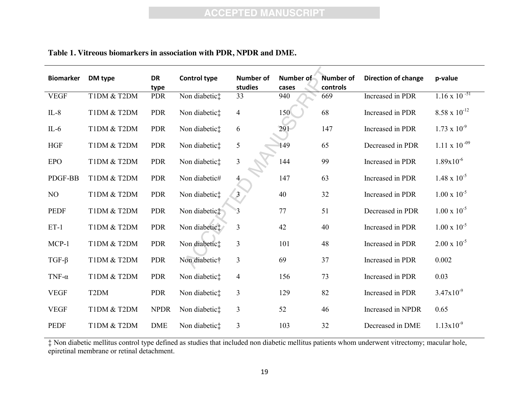| <b>Biomarker</b> | DM type           | <b>DR</b><br>type | <b>Control type</b> | <b>Number of</b><br>studies | Number of<br>cases | <b>Number of</b><br>controls | <b>Direction of change</b> | p-value                |
|------------------|-------------------|-------------------|---------------------|-----------------------------|--------------------|------------------------------|----------------------------|------------------------|
| <b>VEGF</b>      | T1DM & T2DM       | <b>PDR</b>        | Non diabetic‡       | 33                          | 940                | 669                          | Increased in PDR           | $1.16 \times 10^{-51}$ |
| $IL-8$           | T1DM & T2DM       | <b>PDR</b>        | Non diabetic:       | $\overline{4}$              | 150                | 68                           | Increased in PDR           | $8.58 \times 10^{-12}$ |
| $IL-6$           | T1DM & T2DM       | <b>PDR</b>        | Non diabetic:       | 6                           | 291                | 147                          | Increased in PDR           | $1.73 \times 10^{-9}$  |
| <b>HGF</b>       | T1DM & T2DM       | <b>PDR</b>        | Non diabetic:       | $\mathfrak{S}$              | 149                | 65                           | Decreased in PDR           | $1.11 \times 10^{-09}$ |
| <b>EPO</b>       | T1DM & T2DM       | <b>PDR</b>        | Non diabetic:       | $\mathfrak{Z}$              | 144                | 99                           | Increased in PDR           | $1.89x10^{-6}$         |
| PDGF-BB          | T1DM & T2DM       | <b>PDR</b>        | Non diabetic#       | 4                           | 147                | 63                           | Increased in PDR           | $1.48 \times 10^{-5}$  |
| NO               | T1DM & T2DM       | <b>PDR</b>        | Non diabetic‡       | 3 <sup>1</sup>              | 40                 | 32                           | Increased in PDR           | $1.00 \times 10^{-5}$  |
| <b>PEDF</b>      | T1DM & T2DM       | <b>PDR</b>        | Non diabetic‡       |                             | 77                 | 51                           | Decreased in PDR           | $1.00 \times 10^{-5}$  |
| $ET-1$           | T1DM & T2DM       | <b>PDR</b>        | Non diabetic‡       | $\overline{3}$              | 42                 | 40                           | Increased in PDR           | $1.00 \times 10^{-5}$  |
| MCP-1            | T1DM & T2DM       | <b>PDR</b>        | Non diabetic:       | $\mathfrak{Z}$              | 101                | 48                           | Increased in PDR           | $2.00 \times 10^{-5}$  |
| $TGF-\beta$      | T1DM & T2DM       | <b>PDR</b>        | Non diabetic†       | $\overline{3}$              | 69                 | 37                           | Increased in PDR           | 0.002                  |
| TNF- $\alpha$    | T1DM & T2DM       | <b>PDR</b>        | Non diabetic:       | $\overline{4}$              | 156                | 73                           | Increased in PDR           | 0.03                   |
| <b>VEGF</b>      | T <sub>2</sub> DM | <b>PDR</b>        | Non diabetic:       | $\mathfrak{Z}$              | 129                | 82                           | Increased in PDR           | $3.47x10^{-9}$         |
| <b>VEGF</b>      | T1DM & T2DM       | <b>NPDR</b>       | Non diabetic:       | $\mathfrak{Z}$              | 52                 | 46                           | Increased in NPDR          | 0.65                   |
| <b>PEDF</b>      | T1DM & T2DM       | <b>DME</b>        | Non diabetic:       | 3                           | 103                | 32                           | Decreased in DME           | $1.13x10^{-9}$         |

#### **Table 1. Vitreous biomarkers in association with PDR, NPDR and DME.**

‡ Non diabetic mellitus control type defined as studies that included non diabetic mellitus patients whom underwent vitrectomy; macular hole, epiretinal membrane or retinal detachment.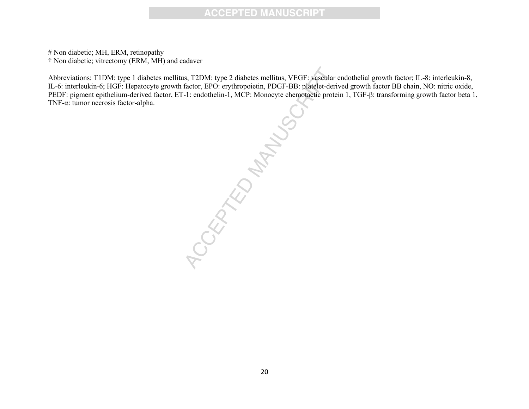# Non diabetic; MH, ERM, retinopathy † Non diabetic; vitrectomy (ERM, MH) and cadaver

Abbreviations: T1DM: type 1 diabetes mellitus, T2DM: type 2 diabetes mellitus, VEGF: vascular endothelial growth factor; IL-8: interleukin-8, IL-6: interleukin-6; HGF: Hepatocyte growth factor, EPO: erythropoietin, PDGF-BB: platelet-derived growth factor BB chain, NO: nitric oxide, PEDF: pigment epithelium-derived factor, ET-1: endothelin-1, MCP: Monocyte chemotactic protein 1, TGF-β: transforming growth factor beta 1, TNF-α: tumor necrosis factor-alpha.

Accepted Manuscript Cheminal Accepted Manuscript Cheminal Accepted Manuscript Cheminal Accepted Manuscript Cheminal Accepted Manuscript Cheminal Accepted Manuscript Cheminal Accepted Manuscript Cheminal Accepted Manuscript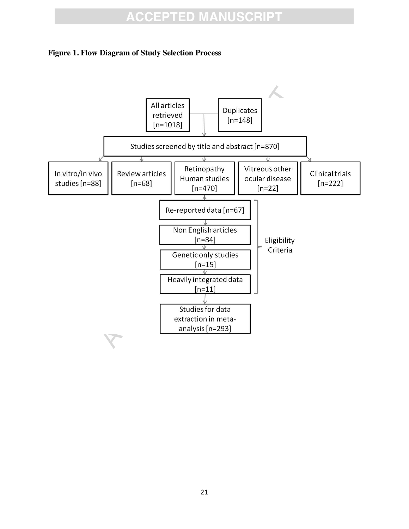#### **Figure 1. Flow Diagram of Study Selection Process**

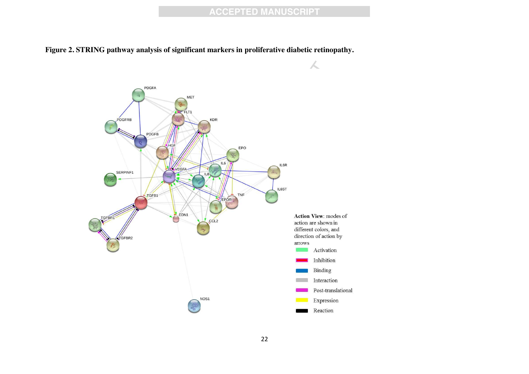